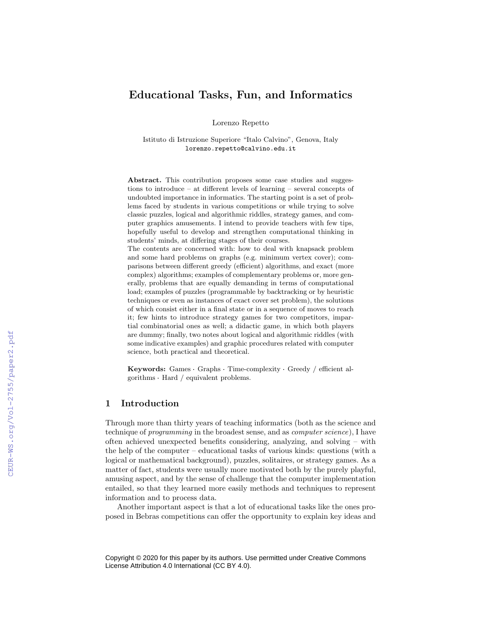# Educational Tasks, Fun, and Informatics

Lorenzo Repetto

Istituto di Istruzione Superiore "Italo Calvino", Genova, Italy lorenzo.repetto@calvino.edu.it

Abstract. This contribution proposes some case studies and suggestions to introduce – at different levels of learning – several concepts of undoubted importance in informatics. The starting point is a set of problems faced by students in various competitions or while trying to solve classic puzzles, logical and algorithmic riddles, strategy games, and computer graphics amusements. I intend to provide teachers with few tips, hopefully useful to develop and strengthen computational thinking in students' minds, at differing stages of their courses.

The contents are concerned with: how to deal with knapsack problem and some hard problems on graphs (e.g. minimum vertex cover); comparisons between different greedy (efficient) algorithms, and exact (more complex) algorithms; examples of complementary problems or, more generally, problems that are equally demanding in terms of computational load; examples of puzzles (programmable by backtracking or by heuristic techniques or even as instances of exact cover set problem), the solutions of which consist either in a final state or in a sequence of moves to reach it; few hints to introduce strategy games for two competitors, impartial combinatorial ones as well; a didactic game, in which both players are dummy; finally, two notes about logical and algorithmic riddles (with some indicative examples) and graphic procedures related with computer science, both practical and theoretical.

science, both practical and theoretical.<br>Keywords: Games · Graphs · Time-complexity · Greedy / efficient al-**Keywords:** Games Graphs Time-constraints Hard / equivalent problems.

## 1 Introduction

Through more than thirty years of teaching informatics (both as the science and technique of *programming* in the broadest sense, and as *computer science*), I have often achieved unexpected benefits considering, analyzing, and solving – with the help of the computer – educational tasks of various kinds: questions (with a logical or mathematical background), puzzles, solitaires, or strategy games. As a matter of fact, students were usually more motivated both by the purely playful, amusing aspect, and by the sense of challenge that the computer implementation entailed, so that they learned more easily methods and techniques to represent information and to process data.

Another important aspect is that a lot of educational tasks like the ones proposed in Bebras competitions can offer the opportunity to explain key ideas and

Copyright © 2020 for this paper by its authors. Use permitted under Creative Commons License Attribution 4.0 International (CC BY 4.0).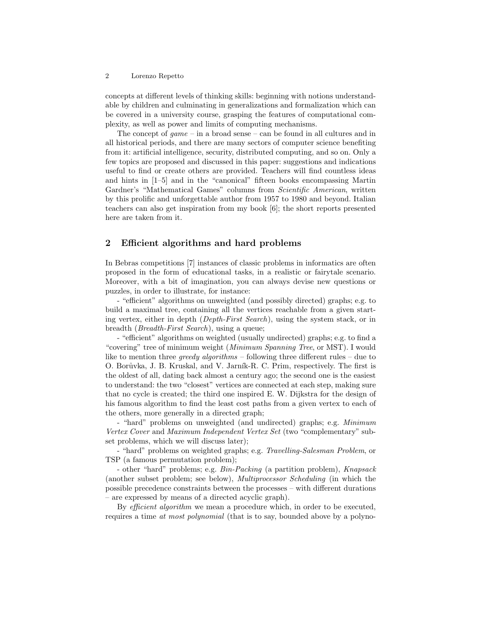concepts at different levels of thinking skills: beginning with notions understandable by children and culminating in generalizations and formalization which can be covered in a university course, grasping the features of computational complexity, as well as power and limits of computing mechanisms.

The concept of  $game$  – in a broad sense – can be found in all cultures and in all historical periods, and there are many sectors of computer science benefiting from it: artificial intelligence, security, distributed computing, and so on. Only a few topics are proposed and discussed in this paper: suggestions and indications useful to find or create others are provided. Teachers will find countless ideas and hints in [1–5] and in the "canonical" fifteen books encompassing Martin Gardner's "Mathematical Games" columns from Scientific American, written by this prolific and unforgettable author from 1957 to 1980 and beyond. Italian teachers can also get inspiration from my book [6]; the short reports presented here are taken from it.

# 2 Efficient algorithms and hard problems

In Bebras competitions [7] instances of classic problems in informatics are often proposed in the form of educational tasks, in a realistic or fairytale scenario. Moreover, with a bit of imagination, you can always devise new questions or puzzles, in order to illustrate, for instance:

- "efficient" algorithms on unweighted (and possibly directed) graphs; e.g. to build a maximal tree, containing all the vertices reachable from a given starting vertex, either in depth (Depth-First Search), using the system stack, or in breadth (Breadth-First Search), using a queue;

- "efficient" algorithms on weighted (usually undirected) graphs; e.g. to find a "covering" tree of minimum weight (Minimum Spanning Tree, or MST). I would like to mention three *greedy algorithms* – following three different rules – due to O. Borůvka, J. B. Kruskal, and V. Jarník-R. C. Prim, respectively. The first is the oldest of all, dating back almost a century ago; the second one is the easiest to understand: the two "closest" vertices are connected at each step, making sure that no cycle is created; the third one inspired E. W. Dijkstra for the design of his famous algorithm to find the least cost paths from a given vertex to each of the others, more generally in a directed graph;

- "hard" problems on unweighted (and undirected) graphs; e.g. Minimum Vertex Cover and Maximum Independent Vertex Set (two "complementary" subset problems, which we will discuss later);

- "hard" problems on weighted graphs; e.g. Travelling-Salesman Problem, or TSP (a famous permutation problem);

- other "hard" problems; e.g. Bin-Packing (a partition problem), Knapsack (another subset problem; see below), Multiprocessor Scheduling (in which the possible precedence constraints between the processes – with different durations – are expressed by means of a directed acyclic graph).

By efficient algorithm we mean a procedure which, in order to be executed, requires a time at most polynomial (that is to say, bounded above by a polyno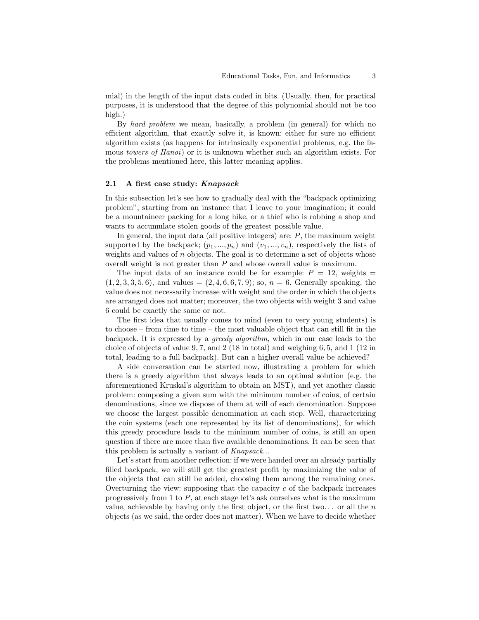mial) in the length of the input data coded in bits. (Usually, then, for practical purposes, it is understood that the degree of this polynomial should not be too high.)

By hard problem we mean, basically, a problem (in general) for which no efficient algorithm, that exactly solve it, is known: either for sure no efficient algorithm exists (as happens for intrinsically exponential problems, e.g. the famous *towers of Hanoi*) or it is unknown whether such an algorithm exists. For the problems mentioned here, this latter meaning applies.

#### 2.1 A first case study: Knapsack

In this subsection let's see how to gradually deal with the "backpack optimizing problem", starting from an instance that I leave to your imagination; it could be a mountaineer packing for a long hike, or a thief who is robbing a shop and wants to accumulate stolen goods of the greatest possible value.

In general, the input data (all positive integers) are:  $P$ , the maximum weight supported by the backpack;  $(p_1, ..., p_n)$  and  $(v_1, ..., v_n)$ , respectively the lists of weights and values of  $n$  objects. The goal is to determine a set of objects whose overall weight is not greater than P and whose overall value is maximum.

The input data of an instance could be for example:  $P = 12$ , weights =  $(1, 2, 3, 3, 5, 6)$ , and values  $= (2, 4, 6, 6, 7, 9)$ ; so,  $n = 6$ . Generally speaking, the value does not necessarily increase with weight and the order in which the objects are arranged does not matter; moreover, the two objects with weight 3 and value 6 could be exactly the same or not.

The first idea that usually comes to mind (even to very young students) is to choose – from time to time – the most valuable object that can still fit in the backpack. It is expressed by a greedy algorithm, which in our case leads to the choice of objects of value 9, 7, and 2 (18 in total) and weighing 6, 5, and 1 (12 in total, leading to a full backpack). But can a higher overall value be achieved?

A side conversation can be started now, illustrating a problem for which there is a greedy algorithm that always leads to an optimal solution (e.g. the aforementioned Kruskal's algorithm to obtain an MST), and yet another classic problem: composing a given sum with the minimum number of coins, of certain denominations, since we dispose of them at will of each denomination. Suppose we choose the largest possible denomination at each step. Well, characterizing the coin systems (each one represented by its list of denominations), for which this greedy procedure leads to the minimum number of coins, is still an open question if there are more than five available denominations. It can be seen that this problem is actually a variant of Knapsack...

Let's start from another reflection: if we were handed over an already partially filled backpack, we will still get the greatest profit by maximizing the value of the objects that can still be added, choosing them among the remaining ones. Overturning the view: supposing that the capacity  $c$  of the backpack increases progressively from 1 to P, at each stage let's ask ourselves what is the maximum value, achievable by having only the first object, or the first two... or all the  $n$ objects (as we said, the order does not matter). When we have to decide whether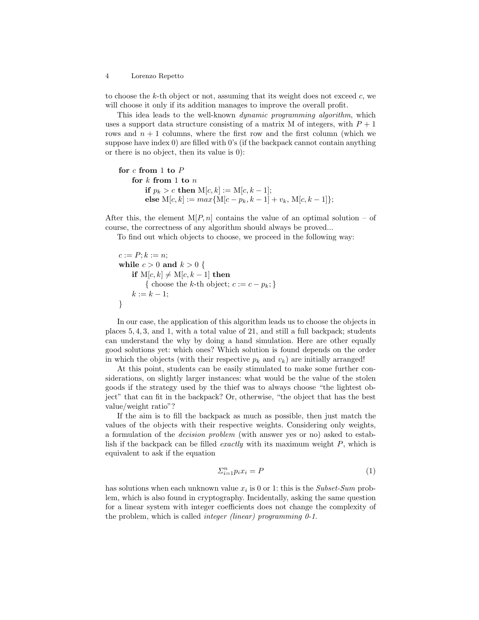to choose the k-th object or not, assuming that its weight does not exceed  $c$ , we will choose it only if its addition manages to improve the overall profit.

This idea leads to the well-known dynamic programming algorithm, which uses a support data structure consisting of a matrix M of integers, with  $P+1$ rows and  $n + 1$  columns, where the first row and the first column (which we suppose have index  $\theta$ ) are filled with  $\theta$ 's (if the backpack cannot contain anything or there is no object, then its value is 0):

```
for c from 1 to Pfor k from 1 to nif p_k > c then M[c, k] := M[c, k - 1];
else M[c, k] := max{M[c - p_k, k - 1] + v_k, M[c, k - 1]};
```
After this, the element  $M[P,n]$  contains the value of an optimal solution – of course, the correctness of any algorithm should always be proved...

To find out which objects to choose, we proceed in the following way:

 $c := P; k := n;$ while  $c > 0$  and  $k > 0$  { if  $M[c, k] \neq M[c, k - 1]$  then { choose the k-th object;  $c := c - p_k$ ; }  $k := k - 1$ ; }

In our case, the application of this algorithm leads us to choose the objects in places 5, 4, 3, and 1, with a total value of 21, and still a full backpack; students can understand the why by doing a hand simulation. Here are other equally good solutions yet: which ones? Which solution is found depends on the order in which the objects (with their respective  $p_k$  and  $v_k$ ) are initially arranged!

At this point, students can be easily stimulated to make some further considerations, on slightly larger instances: what would be the value of the stolen goods if the strategy used by the thief was to always choose "the lightest object" that can fit in the backpack? Or, otherwise, "the object that has the best value/weight ratio"?

If the aim is to fill the backpack as much as possible, then just match the values of the objects with their respective weights. Considering only weights, a formulation of the decision problem (with answer yes or no) asked to establish if the backpack can be filled *exactly* with its maximum weight  $P$ , which is equivalent to ask if the equation

$$
\sum_{i=1}^{n} p_i x_i = P \tag{1}
$$

has solutions when each unknown value  $x_i$  is 0 or 1: this is the *Subset-Sum* problem, which is also found in cryptography. Incidentally, asking the same question for a linear system with integer coefficients does not change the complexity of the problem, which is called *integer (linear)* programming  $0-1$ .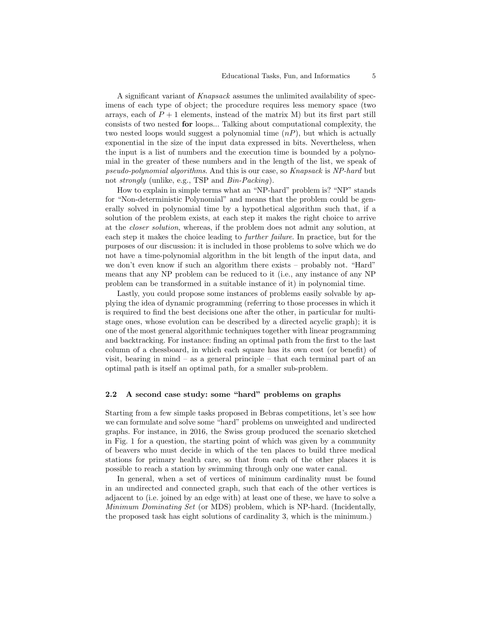A significant variant of Knapsack assumes the unlimited availability of specimens of each type of object; the procedure requires less memory space (two arrays, each of  $P+1$  elements, instead of the matrix M) but its first part still consists of two nested for loops... Talking about computational complexity, the two nested loops would suggest a polynomial time  $(nP)$ , but which is actually exponential in the size of the input data expressed in bits. Nevertheless, when the input is a list of numbers and the execution time is bounded by a polynomial in the greater of these numbers and in the length of the list, we speak of pseudo-polynomial algorithms. And this is our case, so Knapsack is NP-hard but not strongly (unlike, e.g., TSP and Bin-Packing).

How to explain in simple terms what an "NP-hard" problem is? "NP" stands for "Non-deterministic Polynomial" and means that the problem could be generally solved in polynomial time by a hypothetical algorithm such that, if a solution of the problem exists, at each step it makes the right choice to arrive at the closer solution, whereas, if the problem does not admit any solution, at each step it makes the choice leading to further failure. In practice, but for the purposes of our discussion: it is included in those problems to solve which we do not have a time-polynomial algorithm in the bit length of the input data, and we don't even know if such an algorithm there exists – probably not. "Hard" means that any NP problem can be reduced to it (i.e., any instance of any NP problem can be transformed in a suitable instance of it) in polynomial time.

Lastly, you could propose some instances of problems easily solvable by applying the idea of dynamic programming (referring to those processes in which it is required to find the best decisions one after the other, in particular for multistage ones, whose evolution can be described by a directed acyclic graph); it is one of the most general algorithmic techniques together with linear programming and backtracking. For instance: finding an optimal path from the first to the last column of a chessboard, in which each square has its own cost (or benefit) of visit, bearing in mind – as a general principle – that each terminal part of an optimal path is itself an optimal path, for a smaller sub-problem.

### 2.2 A second case study: some "hard" problems on graphs

Starting from a few simple tasks proposed in Bebras competitions, let's see how we can formulate and solve some "hard" problems on unweighted and undirected graphs. For instance, in 2016, the Swiss group produced the scenario sketched in Fig. 1 for a question, the starting point of which was given by a community of beavers who must decide in which of the ten places to build three medical stations for primary health care, so that from each of the other places it is possible to reach a station by swimming through only one water canal.

In general, when a set of vertices of minimum cardinality must be found in an undirected and connected graph, such that each of the other vertices is adjacent to (i.e. joined by an edge with) at least one of these, we have to solve a Minimum Dominating Set (or MDS) problem, which is NP-hard. (Incidentally, the proposed task has eight solutions of cardinality 3, which is the minimum.)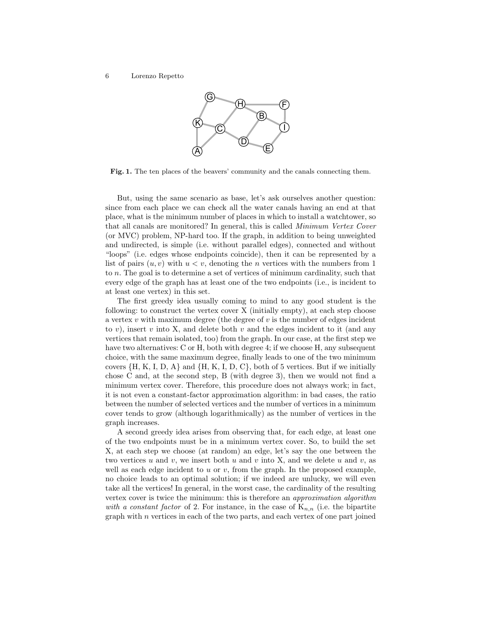

Fig. 1. The ten places of the beavers' community and the canals connecting them.

But, using the same scenario as base, let's ask ourselves another question: since from each place we can check all the water canals having an end at that place, what is the minimum number of places in which to install a watchtower, so that all canals are monitored? In general, this is called Minimum Vertex Cover (or MVC) problem, NP-hard too. If the graph, in addition to being unweighted and undirected, is simple (i.e. without parallel edges), connected and without "loops" (i.e. edges whose endpoints coincide), then it can be represented by a list of pairs  $(u, v)$  with  $u < v$ , denoting the *n* vertices with the numbers from 1 to n. The goal is to determine a set of vertices of minimum cardinality, such that every edge of the graph has at least one of the two endpoints (i.e., is incident to at least one vertex) in this set.

The first greedy idea usually coming to mind to any good student is the following: to construct the vertex cover X (initially empty), at each step choose a vertex  $v$  with maximum degree (the degree of  $v$  is the number of edges incident to v), insert v into X, and delete both v and the edges incident to it (and any vertices that remain isolated, too) from the graph. In our case, at the first step we have two alternatives: C or H, both with degree 4; if we choose H, any subsequent choice, with the same maximum degree, finally leads to one of the two minimum covers  $\{H, K, I, D, A\}$  and  $\{H, K, I, D, C\}$ , both of 5 vertices. But if we initially chose C and, at the second step, B (with degree 3), then we would not find a minimum vertex cover. Therefore, this procedure does not always work; in fact, it is not even a constant-factor approximation algorithm: in bad cases, the ratio between the number of selected vertices and the number of vertices in a minimum cover tends to grow (although logarithmically) as the number of vertices in the graph increases.

A second greedy idea arises from observing that, for each edge, at least one of the two endpoints must be in a minimum vertex cover. So, to build the set X, at each step we choose (at random) an edge, let's say the one between the two vertices  $u$  and  $v$ , we insert both  $u$  and  $v$  into X, and we delete  $u$  and  $v$ , as well as each edge incident to  $u$  or  $v$ , from the graph. In the proposed example, no choice leads to an optimal solution; if we indeed are unlucky, we will even take all the vertices! In general, in the worst case, the cardinality of the resulting vertex cover is twice the minimum: this is therefore an approximation algorithm with a constant factor of 2. For instance, in the case of  $K_{n,n}$  (i.e. the bipartite graph with  $n$  vertices in each of the two parts, and each vertex of one part joined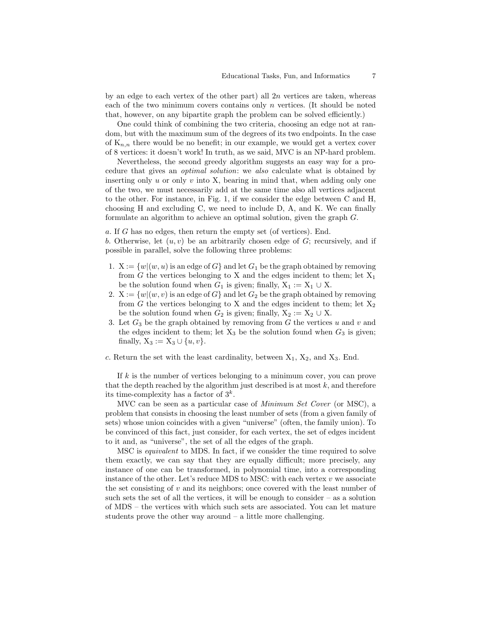by an edge to each vertex of the other part) all  $2n$  vertices are taken, whereas each of the two minimum covers contains only n vertices. (It should be noted that, however, on any bipartite graph the problem can be solved efficiently.)

One could think of combining the two criteria, choosing an edge not at random, but with the maximum sum of the degrees of its two endpoints. In the case of  $K_{n,n}$  there would be no benefit; in our example, we would get a vertex cover of 8 vertices: it doesn't work! In truth, as we said, MVC is an NP-hard problem.

Nevertheless, the second greedy algorithm suggests an easy way for a procedure that gives an optimal solution: we also calculate what is obtained by inserting only  $u$  or only  $v$  into X, bearing in mind that, when adding only one of the two, we must necessarily add at the same time also all vertices adjacent to the other. For instance, in Fig. 1, if we consider the edge between C and H, choosing H and excluding C, we need to include D, A, and K. We can finally formulate an algorithm to achieve an optimal solution, given the graph G.

a. If G has no edges, then return the empty set (of vertices). End.

b. Otherwise, let  $(u, v)$  be an arbitrarily chosen edge of G; recursively, and if possible in parallel, solve the following three problems:

- 1.  $X := \{w | (w, u) \text{ is an edge of } G \}$  and let  $G_1$  be the graph obtained by removing from G the vertices belonging to X and the edges incident to them; let  $X_1$ be the solution found when  $G_1$  is given; finally,  $X_1 := X_1 \cup X$ .
- 2.  $X := \{w | (w, v) \text{ is an edge of } G\}$  and let  $G_2$  be the graph obtained by removing from G the vertices belonging to X and the edges incident to them; let  $X_2$ be the solution found when  $G_2$  is given; finally,  $X_2 := X_2 \cup X$ .
- 3. Let  $G_3$  be the graph obtained by removing from G the vertices u and v and the edges incident to them; let  $X_3$  be the solution found when  $G_3$  is given; finally,  $X_3 := X_3 \cup \{u, v\}.$

c. Return the set with the least cardinality, between  $X_1$ ,  $X_2$ , and  $X_3$ . End.

If k is the number of vertices belonging to a minimum cover, you can prove that the depth reached by the algorithm just described is at most  $k$ , and therefore its time-complexity has a factor of  $3^k$ .

MVC can be seen as a particular case of Minimum Set Cover (or MSC), a problem that consists in choosing the least number of sets (from a given family of sets) whose union coincides with a given "universe" (often, the family union). To be convinced of this fact, just consider, for each vertex, the set of edges incident to it and, as "universe", the set of all the edges of the graph.

MSC is equivalent to MDS. In fact, if we consider the time required to solve them exactly, we can say that they are equally difficult; more precisely, any instance of one can be transformed, in polynomial time, into a corresponding instance of the other. Let's reduce MDS to MSC: with each vertex  $v$  we associate the set consisting of  $v$  and its neighbors; once covered with the least number of such sets the set of all the vertices, it will be enough to consider – as a solution of MDS – the vertices with which such sets are associated. You can let mature students prove the other way around  $-$  a little more challenging.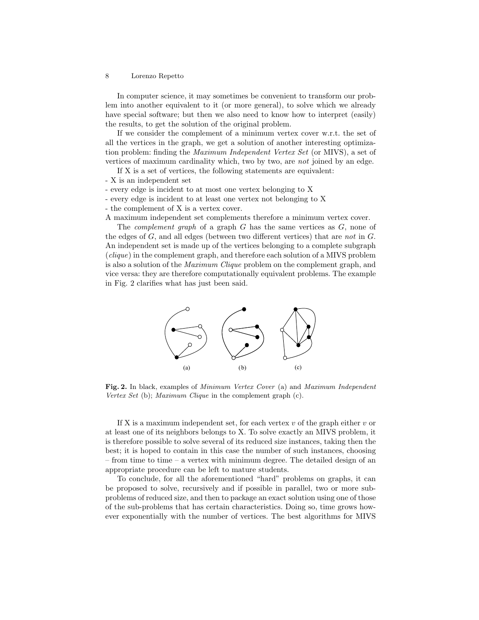In computer science, it may sometimes be convenient to transform our problem into another equivalent to it (or more general), to solve which we already have special software; but then we also need to know how to interpret (easily) the results, to get the solution of the original problem.

If we consider the complement of a minimum vertex cover w.r.t. the set of all the vertices in the graph, we get a solution of another interesting optimization problem: finding the Maximum Independent Vertex Set (or MIVS), a set of vertices of maximum cardinality which, two by two, are not joined by an edge.

If X is a set of vertices, the following statements are equivalent:

- X is an independent set
- every edge is incident to at most one vertex belonging to X
- every edge is incident to at least one vertex not belonging to X

- the complement of X is a vertex cover.

A maximum independent set complements therefore a minimum vertex cover.

The *complement graph* of a graph  $G$  has the same vertices as  $G$ , none of the edges of  $G$ , and all edges (between two different vertices) that are not in  $G$ . An independent set is made up of the vertices belonging to a complete subgraph (clique) in the complement graph, and therefore each solution of a MIVS problem is also a solution of the Maximum Clique problem on the complement graph, and vice versa: they are therefore computationally equivalent problems. The example in Fig. 2 clarifies what has just been said.



Fig. 2. In black, examples of Minimum Vertex Cover (a) and Maximum Independent Vertex Set (b); Maximum Clique in the complement graph (c).

If X is a maximum independent set, for each vertex  $v$  of the graph either  $v$  or at least one of its neighbors belongs to X. To solve exactly an MIVS problem, it is therefore possible to solve several of its reduced size instances, taking then the best; it is hoped to contain in this case the number of such instances, choosing – from time to time – a vertex with minimum degree. The detailed design of an appropriate procedure can be left to mature students.

To conclude, for all the aforementioned "hard" problems on graphs, it can be proposed to solve, recursively and if possible in parallel, two or more subproblems of reduced size, and then to package an exact solution using one of those of the sub-problems that has certain characteristics. Doing so, time grows however exponentially with the number of vertices. The best algorithms for MIVS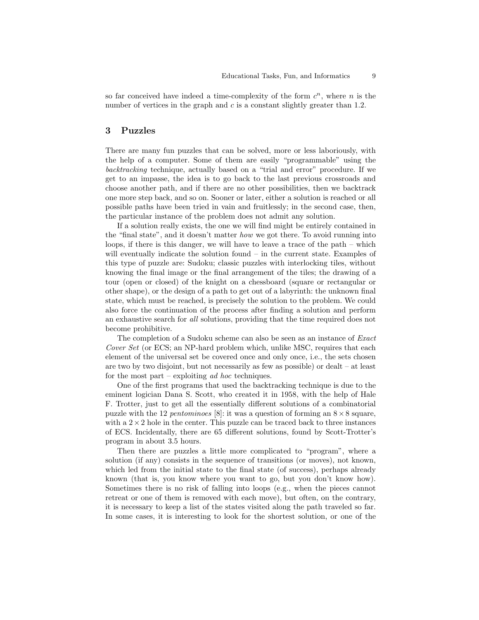so far conceived have indeed a time-complexity of the form  $c^n$ , where n is the number of vertices in the graph and  $c$  is a constant slightly greater than 1.2.

### 3 Puzzles

There are many fun puzzles that can be solved, more or less laboriously, with the help of a computer. Some of them are easily "programmable" using the backtracking technique, actually based on a "trial and error" procedure. If we get to an impasse, the idea is to go back to the last previous crossroads and choose another path, and if there are no other possibilities, then we backtrack one more step back, and so on. Sooner or later, either a solution is reached or all possible paths have been tried in vain and fruitlessly; in the second case, then, the particular instance of the problem does not admit any solution.

If a solution really exists, the one we will find might be entirely contained in the "final state", and it doesn't matter how we got there. To avoid running into loops, if there is this danger, we will have to leave a trace of the path – which will eventually indicate the solution found – in the current state. Examples of this type of puzzle are: Sudoku; classic puzzles with interlocking tiles, without knowing the final image or the final arrangement of the tiles; the drawing of a tour (open or closed) of the knight on a chessboard (square or rectangular or other shape), or the design of a path to get out of a labyrinth: the unknown final state, which must be reached, is precisely the solution to the problem. We could also force the continuation of the process after finding a solution and perform an exhaustive search for all solutions, providing that the time required does not become prohibitive.

The completion of a Sudoku scheme can also be seen as an instance of Exact Cover Set (or ECS; an NP-hard problem which, unlike MSC, requires that each element of the universal set be covered once and only once, i.e., the sets chosen are two by two disjoint, but not necessarily as few as possible) or dealt – at least for the most part – exploiting ad hoc techniques.

One of the first programs that used the backtracking technique is due to the eminent logician Dana S. Scott, who created it in 1958, with the help of Hale F. Trotter, just to get all the essentially different solutions of a combinatorial puzzle with the 12 pentominoes [8]: it was a question of forming an  $8 \times 8$  square, with a  $2 \times 2$  hole in the center. This puzzle can be traced back to three instances of ECS. Incidentally, there are 65 different solutions, found by Scott-Trotter's program in about 3.5 hours.

Then there are puzzles a little more complicated to "program", where a solution (if any) consists in the sequence of transitions (or moves), not known, which led from the initial state to the final state (of success), perhaps already known (that is, you know where you want to go, but you don't know how). Sometimes there is no risk of falling into loops (e.g., when the pieces cannot retreat or one of them is removed with each move), but often, on the contrary, it is necessary to keep a list of the states visited along the path traveled so far. In some cases, it is interesting to look for the shortest solution, or one of the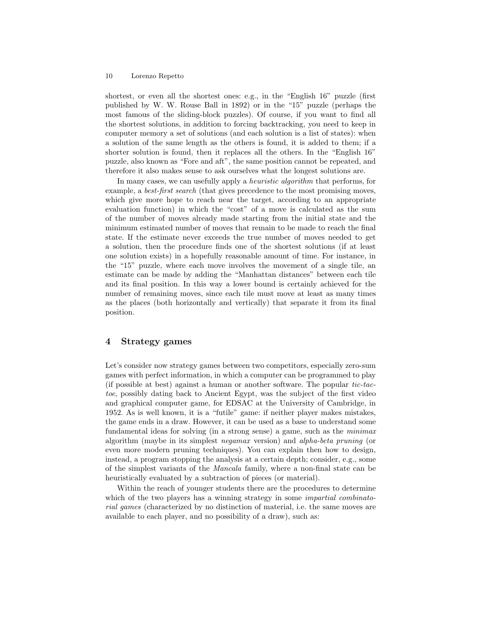shortest, or even all the shortest ones: e.g., in the "English 16" puzzle (first published by W. W. Rouse Ball in 1892) or in the "15" puzzle (perhaps the most famous of the sliding-block puzzles). Of course, if you want to find all the shortest solutions, in addition to forcing backtracking, you need to keep in computer memory a set of solutions (and each solution is a list of states): when a solution of the same length as the others is found, it is added to them; if a shorter solution is found, then it replaces all the others. In the "English 16" puzzle, also known as "Fore and aft", the same position cannot be repeated, and therefore it also makes sense to ask ourselves what the longest solutions are.

In many cases, we can usefully apply a *heuristic algorithm* that performs, for example, a *best-first search* (that gives precedence to the most promising moves, which give more hope to reach near the target, according to an appropriate evaluation function) in which the "cost" of a move is calculated as the sum of the number of moves already made starting from the initial state and the minimum estimated number of moves that remain to be made to reach the final state. If the estimate never exceeds the true number of moves needed to get a solution, then the procedure finds one of the shortest solutions (if at least one solution exists) in a hopefully reasonable amount of time. For instance, in the "15" puzzle, where each move involves the movement of a single tile, an estimate can be made by adding the "Manhattan distances" between each tile and its final position. In this way a lower bound is certainly achieved for the number of remaining moves, since each tile must move at least as many times as the places (both horizontally and vertically) that separate it from its final position.

### 4 Strategy games

Let's consider now strategy games between two competitors, especially zero-sum games with perfect information, in which a computer can be programmed to play (if possible at best) against a human or another software. The popular tic-tactoe, possibly dating back to Ancient Egypt, was the subject of the first video and graphical computer game, for EDSAC at the University of Cambridge, in 1952. As is well known, it is a "futile" game: if neither player makes mistakes, the game ends in a draw. However, it can be used as a base to understand some fundamental ideas for solving (in a strong sense) a game, such as the minimax algorithm (maybe in its simplest negamax version) and alpha-beta pruning (or even more modern pruning techniques). You can explain then how to design, instead, a program stopping the analysis at a certain depth; consider, e.g., some of the simplest variants of the Mancala family, where a non-final state can be heuristically evaluated by a subtraction of pieces (or material).

Within the reach of younger students there are the procedures to determine which of the two players has a winning strategy in some *impartial combinato*rial games (characterized by no distinction of material, i.e. the same moves are available to each player, and no possibility of a draw), such as: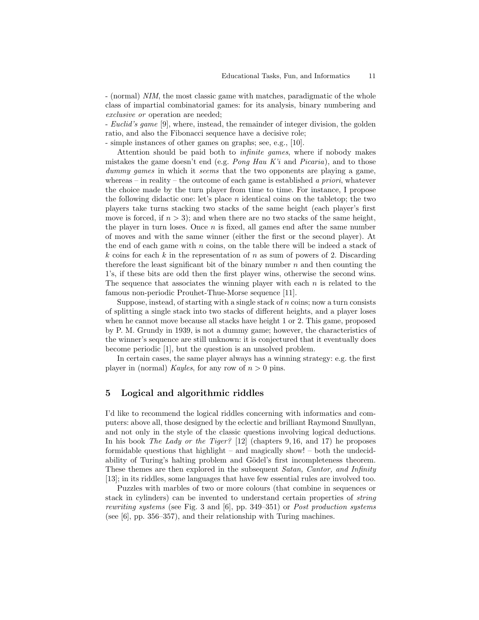- (normal) NIM, the most classic game with matches, paradigmatic of the whole class of impartial combinatorial games: for its analysis, binary numbering and exclusive or operation are needed;

- Euclid's game [9], where, instead, the remainder of integer division, the golden ratio, and also the Fibonacci sequence have a decisive role;

- simple instances of other games on graphs; see, e.g., [10].

Attention should be paid both to infinite games, where if nobody makes mistakes the game doesn't end (e.g. *Pong Hau K'i* and *Picaria*), and to those dummy games in which it seems that the two opponents are playing a game, whereas – in reality – the outcome of each game is established a priori, whatever the choice made by the turn player from time to time. For instance, I propose the following didactic one: let's place  $n$  identical coins on the tabletop; the two players take turns stacking two stacks of the same height (each player's first move is forced, if  $n > 3$ ; and when there are no two stacks of the same height, the player in turn loses. Once  $n$  is fixed, all games end after the same number of moves and with the same winner (either the first or the second player). At the end of each game with  $n$  coins, on the table there will be indeed a stack of k coins for each k in the representation of n as sum of powers of 2. Discarding therefore the least significant bit of the binary number  $n$  and then counting the 1's, if these bits are odd then the first player wins, otherwise the second wins. The sequence that associates the winning player with each  $n$  is related to the famous non-periodic Prouhet-Thue-Morse sequence [11].

Suppose, instead, of starting with a single stack of  $n$  coins; now a turn consists of splitting a single stack into two stacks of different heights, and a player loses when he cannot move because all stacks have height 1 or 2. This game, proposed by P. M. Grundy in 1939, is not a dummy game; however, the characteristics of the winner's sequence are still unknown: it is conjectured that it eventually does become periodic [1], but the question is an unsolved problem.

In certain cases, the same player always has a winning strategy: e.g. the first player in (normal) Kayles, for any row of  $n > 0$  pins.

# 5 Logical and algorithmic riddles

I'd like to recommend the logical riddles concerning with informatics and computers: above all, those designed by the eclectic and brilliant Raymond Smullyan, and not only in the style of the classic questions involving logical deductions. In his book The Lady or the Tiger? [12] (chapters  $9, 16$ , and 17) he proposes formidable questions that highlight – and magically show! – both the undecidability of Turing's halting problem and Gödel's first incompleteness theorem. These themes are then explored in the subsequent Satan, Cantor, and Infinity [13]; in its riddles, some languages that have few essential rules are involved too.

Puzzles with marbles of two or more colours (that combine in sequences or stack in cylinders) can be invented to understand certain properties of string rewriting systems (see Fig. 3 and [6], pp. 349–351) or Post production systems (see [6], pp. 356–357), and their relationship with Turing machines.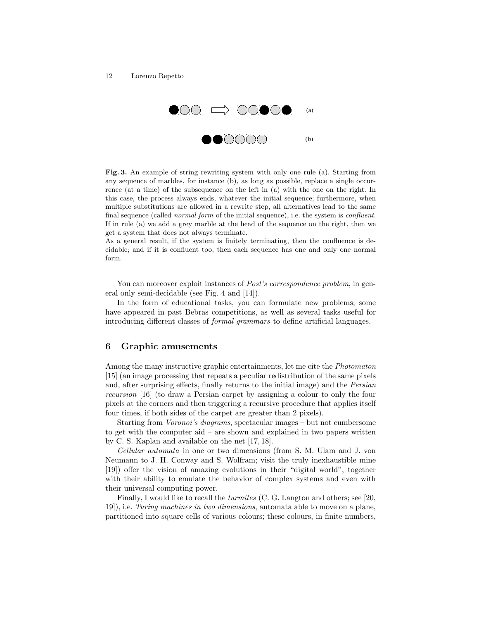

Fig. 3. An example of string rewriting system with only one rule (a). Starting from any sequence of marbles, for instance (b), as long as possible, replace a single occurrence (at a time) of the subsequence on the left in (a) with the one on the right. In this case, the process always ends, whatever the initial sequence; furthermore, when multiple substitutions are allowed in a rewrite step, all alternatives lead to the same final sequence (called normal form of the initial sequence), i.e. the system is confluent. If in rule (a) we add a grey marble at the head of the sequence on the right, then we get a system that does not always terminate.

As a general result, if the system is finitely terminating, then the confluence is decidable; and if it is confluent too, then each sequence has one and only one normal form.

You can moreover exploit instances of *Post's correspondence problem*, in general only semi-decidable (see Fig. 4 and [14]).

In the form of educational tasks, you can formulate new problems; some have appeared in past Bebras competitions, as well as several tasks useful for introducing different classes of formal grammars to define artificial languages.

### 6 Graphic amusements

Among the many instructive graphic entertainments, let me cite the Photomaton [15] (an image processing that repeats a peculiar redistribution of the same pixels and, after surprising effects, finally returns to the initial image) and the Persian recursion [16] (to draw a Persian carpet by assigning a colour to only the four pixels at the corners and then triggering a recursive procedure that applies itself four times, if both sides of the carpet are greater than 2 pixels).

Starting from Voronoi's diagrams, spectacular images – but not cumbersome to get with the computer aid – are shown and explained in two papers written by C. S. Kaplan and available on the net [17, 18].

Cellular automata in one or two dimensions (from S. M. Ulam and J. von Neumann to J. H. Conway and S. Wolfram; visit the truly inexhaustible mine [19]) offer the vision of amazing evolutions in their "digital world", together with their ability to emulate the behavior of complex systems and even with their universal computing power.

Finally, I would like to recall the turmites (C. G. Langton and others; see [20, 19]), i.e. Turing machines in two dimensions, automata able to move on a plane, partitioned into square cells of various colours; these colours, in finite numbers,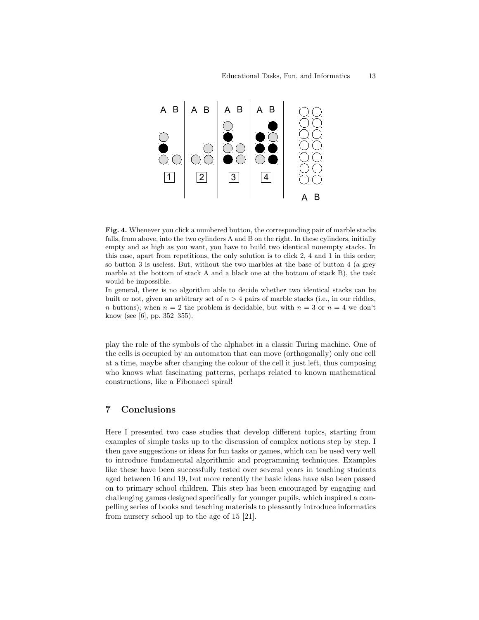

Fig. 4. Whenever you click a numbered button, the corresponding pair of marble stacks falls, from above, into the two cylinders A and B on the right. In these cylinders, initially empty and as high as you want, you have to build two identical nonempty stacks. In this case, apart from repetitions, the only solution is to click 2, 4 and 1 in this order; so button 3 is useless. But, without the two marbles at the base of button 4 (a grey marble at the bottom of stack A and a black one at the bottom of stack B), the task would be impossible.

In general, there is no algorithm able to decide whether two identical stacks can be built or not, given an arbitrary set of  $n > 4$  pairs of marble stacks (i.e., in our riddles, n buttons); when  $n = 2$  the problem is decidable, but with  $n = 3$  or  $n = 4$  we don't know (see [6], pp. 352–355).

play the role of the symbols of the alphabet in a classic Turing machine. One of the cells is occupied by an automaton that can move (orthogonally) only one cell at a time, maybe after changing the colour of the cell it just left, thus composing who knows what fascinating patterns, perhaps related to known mathematical constructions, like a Fibonacci spiral!

# 7 Conclusions

Here I presented two case studies that develop different topics, starting from examples of simple tasks up to the discussion of complex notions step by step. I then gave suggestions or ideas for fun tasks or games, which can be used very well to introduce fundamental algorithmic and programming techniques. Examples like these have been successfully tested over several years in teaching students aged between 16 and 19, but more recently the basic ideas have also been passed on to primary school children. This step has been encouraged by engaging and challenging games designed specifically for younger pupils, which inspired a compelling series of books and teaching materials to pleasantly introduce informatics from nursery school up to the age of 15 [21].